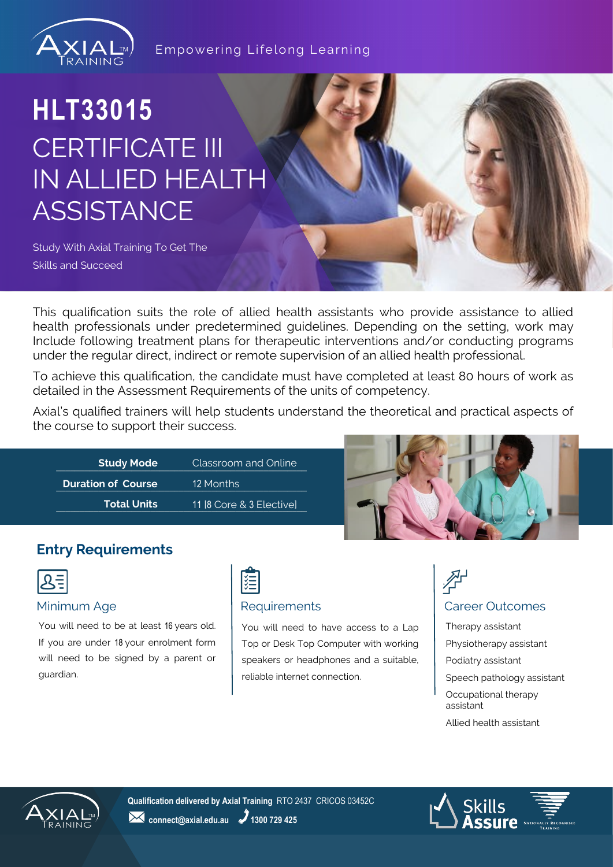

Empowering Lifelong Learning

# **HLT33015** CERTIFICATE III IN ALLIED HEALTH **ASSISTANCE**

Study With Axial Training To Get The Skills and Succeed

This qualification suits the role of allied health assistants who provide assistance to allied health professionals under predetermined guidelines. Depending on the setting, work may Include following treatment plans for therapeutic interventions and/or conducting programs under the regular direct, indirect or remote supervision of an allied health professional.

To achieve this qualification, the candidate must have completed at least 80 hours of work as detailed in the Assessment Requirements of the units of competency.

Axial's qualified trainers will help students understand the theoretical and practical aspects of the course to support their success.

| <b>Study Mode</b>         | Classroom and Online     |  |
|---------------------------|--------------------------|--|
| <b>Duration of Course</b> | 12 Months                |  |
| <b>Total Units</b>        | 11 [8 Core & 3 Elective] |  |



## **Entry Requirements**

|--|

You will need to be at least 16 years old. If you are under 18 your enrolment form will need to be signed by a parent or guardian.



You will need to have access to a Lap Top or Desk Top Computer with working speakers or headphones and a suitable, reliable internet connection.



Therapy assistant Physiotherapy assistant Podiatry assistant Speech pathology assistant Occupational therapy assistant Allied health assistant



**Qualification delivered by Axial Training** RTO 2437 CRICOS 03452C **24** connect@axial.edu.au **2** 1300 729 425